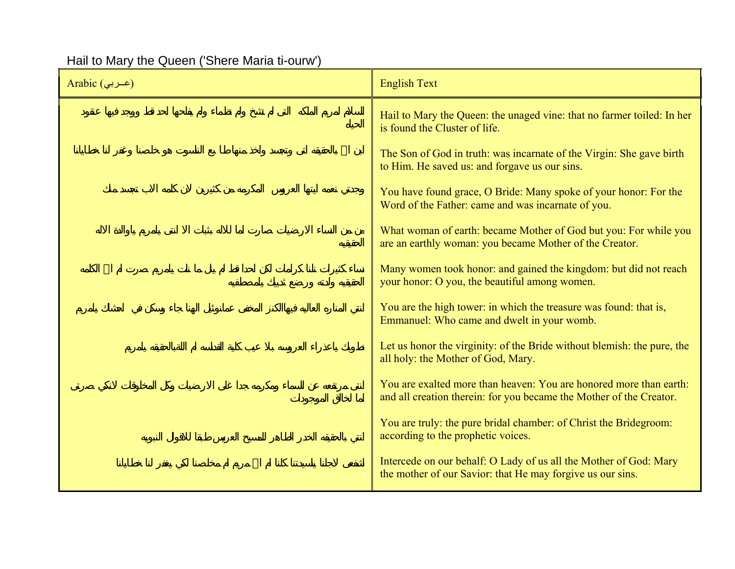## Hail to Mary the Queen ('Shere Maria ti-ourw')

| Arabic (عــربي) | <b>English Text</b>                                                                                                                       |
|-----------------|-------------------------------------------------------------------------------------------------------------------------------------------|
|                 | Hail to Mary the Queen: the unaged vine: that no farmer toiled: In her<br>is found the Cluster of life.                                   |
|                 | The Son of God in truth: was incarnate of the Virgin: She gave birth<br>to Him. He saved us: and forgave us our sins.                     |
|                 | You have found grace, O Bride: Many spoke of your honor: For the<br>Word of the Father: came and was incarnate of you.                    |
|                 | What woman of earth: became Mother of God but you: For while you<br>are an earthly woman: you became Mother of the Creator.               |
|                 | Many women took honor: and gained the kingdom: but did not reach<br>your honor: O you, the beautiful among women.                         |
|                 | You are the high tower: in which the treasure was found: that is,<br>Emmanuel: Who came and dwelt in your womb.                           |
|                 | Let us honor the virginity: of the Bride without blemish: the pure, the<br>all holy: the Mother of God, Mary.                             |
|                 | You are exalted more than heaven: You are honored more than earth:<br>and all creation therein: for you became the Mother of the Creator. |
|                 | You are truly: the pure bridal chamber: of Christ the Bridegroom:<br>according to the prophetic voices.                                   |
|                 | Intercede on our behalf: O Lady of us all the Mother of God: Mary<br>the mother of our Savior: that He may forgive us our sins.           |